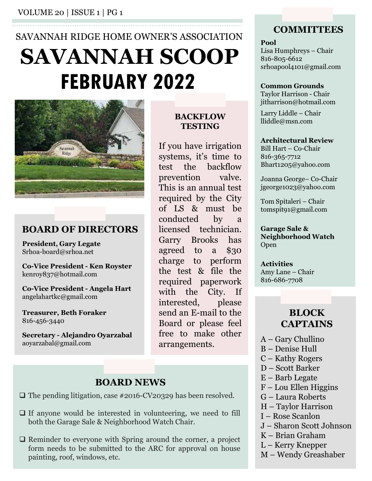# SAVANNAH RIDGE HOME OWNER'S ASSOCIATION **FEBRUARY 2022** Common Grounds SAVANNAH SCOOP Lisa Humphreys - Chair ER'S ASSOCIATION<br>
Fool<br>
Disa Humphreys – Chair<br>
SCOOP<br>
Lisa Humphreys – Chair<br>
stro-805-6612<br>
common Grounds<br>
Taylor Harrison Chair<br>
Therrison Chair<br>
Heat interval Model – Chair<br>
Indie@msn.com<br>
If you have irrigation<br>
If ER'S ASSOCIATION<br>  $\begin{array}{ll}\n\text{COMMITTEES} & \text{COMMITTEES} \\
\text{Sol} & \text{Lias Humphreys} - \text{Chair} \\
\text{Si6-805-6612} & \text{shoapool4101@gmail.com} \\
\text{2022} & \text{Common Grounds} \\
\text{Taylor Harrison@hotmail.com} & \text{Taylor Harrison} - \text{Chair} \\
\text{if your have irrational} & \text{liddle} - \text{Chair} \\
\text{If you have irrational} & \text{liddle@msn.com} \\
\text{If you have irrational} & \text{All Hart} - \text{Co-Chair} \\
\text{systems, it's time to } & \text{Si6$



#### **BOARD OF DIRECTORS** licensed technician.

President, Gary Legate Srhoa-board@srhoa.net

kenroy837@hotmail.com

angelahartkc@gmail.com

Treasurer, Beth Foraker 816-456-3440

 $\frac{1}{2}$  aoyarzabal@gmail.com arrangements.<br>a $\frac{1}{2}$  A - Gary Chullino<br>B - Denise Hull

## **TESTING**

MACKFLOW TESTING<br>
If you have irrigation<br>
sustems, it's time to<br>
sustems, it's time to<br>
sustems, it's time to<br>
sustems, it's time to<br>
test the backflow Bharttao<br>
prevention valve. Joanna G<br>
This is an annual test<br>
orducted Example the City, If you have irrigation<br>signal Hart systems, it's time to saf-365-364-<br>test the backflow phartize<br>prevention valve. Joanna G<br>magnetic conducted by a<br>conducted by a<br>licensed required by the City<br>of LS & mus Fris is an annual test<br>
This is an annual test<br>
required by the City<br>
of LS & must be<br>
conducted by a<br>
Roc-Nice President, Gary Legate<br>
Shoa-board@srhoa.net<br>
Shoa-board@srhoa.net<br>
agreed to a \$30<br>
Co-Vice President - Ken R ER'S ASSOCIATION<br>
Fool<br>
Lisa Humphreys – Chair<br>
SCOOP<br>
Lisa Humphreys – Chair<br>
shoapool4101@gmail.com<br>
2022<br>
Common Grounds<br>
Taylor Harrison – Chair<br>
TESTING<br>
If you have irrigation<br>
TESTING<br>
If you have irrigation<br>
TESTI ER'S ASSOCIATION<br> **SCOOP** Lisa Humphreys – Chair<br>
SCOOP Lisa Humphreys – Chair<br>
sto-805-6612<br>
sto-805-6612<br>
common Grounds<br>
Taylor Harrison – Chair<br>
TESTING Larry Liddle – Chair<br>
TESTING Linear Hiddle@msn.com<br>
If you have ER'S ASSOCIATION<br>
Fool<br>
Fool<br>
Examplereys - Chair<br>
SCOOP<br>
Is a Humphreys - Chair<br>
sto-805-6612<br>
strongpool4101@gmail.com<br>
Taylor Harrison - Chair<br>
Therefore and Taylor Harrison - Chair<br>
TESTING<br>
If you have irrigation<br>
If **SCOOP**<br>  $\begin{array}{ll}\n \text{Food} & \text{Isa Humphreys}-\text{Chair} \\
 \text{Sto-805-6612} & \text{shoapool4101@gmail.com} \\
 \text{Common Grounds} & \text{Taylor Harrison} & \text{Chair}\n \end{array}$ <br> **EXEXELOW**<br>
Interison@hotmail.com<br> **EXEYING**<br>
Interison@hotmail.com<br>
Interison@hotmail.com<br>
IF you have irrigation<br> **SCOOP**<br>
Star and Suc-805-6612<br>
Star and Suc-805-6612<br>
Star and Suc-805-6612<br>
Common Grounds<br>
Taylor Harrison chair<br>
TESTING<br>
If you have irrigation<br>
Intert-Co-Chair<br>
Star and Harrico Chair<br>
Star and Harrico Bill Harri-Co shoapool4101@gmail.com<br>
Taylor Harrison Chair<br>
Taylor Harrison Chair<br>
Taylor Harrison Chair<br>
iitharrison (hotmail.com<br>
TESTING<br>
If you have irrigation<br>
If you have irrigation<br>
Supersumed by the City<br>
This is an annual test **COLORED CONFIDENTIFY**<br>
Common Grounds<br>
Taylor Harrison Chair<br>
jitharrison@hotmail.com<br> **ESTING**<br>
If you have irrigation<br> **ESTING**<br>
If you have irrigation<br>  $\frac{1}{1000}$ <br>  $\frac{1}{1000}$ <br>  $\frac{1}{1000}$ <br>  $\frac{1}{1000}$ <br>  $\frac{1}{1000$ **EXECUTE:**<br>
Common Grounds<br>
Taylor Harrison c-Chair<br>
jitharrison@hotmail.com<br> **BACKFLOW** Larry Liddle Chair<br>
If you have irrigation<br> **FESTING**<br>
If you have irrigation<br>  $\frac{1}{100}$ <br>  $\frac{1}{100}$ <br>  $\frac{1}{100}$ <br>  $\frac{1}{100}$ <br> Taylor Harrison - Chair<br>
intarison@hatmail.com<br> **BACKFLOW**<br>
Larry Liddle – Chair<br> **TESTING**<br>
Illiddle@msn.com<br> **SESTING**<br>
Illiddle@msn.com<br> **SESTING**<br>
Illiddle@msn.com<br>
Bill Harti-Co-Chair<br>
Billidde@msn.com<br>
Billidde@msn. **BACKFLOW**<br> **EXECUTE:** THESTING Intervalses to the chair<br>
If you have irrigation<br>
If you have irrigation<br>  $\frac{1}{10000}$  architectural Review<br>
systems, it's time to<br>  $\frac{816-365-7712}{86-365-772}$ <br>
test the backflow Bhart12 **EXETION**<br> **TESTING**<br> **TESTING**<br> **IF** you have irrigation<br> **EXETING**<br> **EXETING**<br> **EXETING**<br> **EXETING**<br> **EXETING**<br> **EXETING**<br> **EXETING**<br> **EXETIDE**<br> **EXECTION**<br> **EXECTION**<br> **EXECTION**<br> **EXECTION**<br> **EXECTION**<br> **EXECTION**<br> **EX TESTING**<br>
If you have irrigation<br>
suil-Hart – Co-Chair<br>
systems, it's time to<br>  $816-365-7712$ <br>
prevention valve.<br>
Joanna George– Co-Chair<br>
This is an annual test<br>
igeorgeioz3@yahoo.com<br>
required by the City<br>
of LS & must If you have irrigation<br>
systems, it's time to<br>
signal Hart - Co-Chair<br>
systems, it's time to<br>  $816-365-7712$ <br>
test the backflow<br>  $Bhat12205@yahoo.com$ <br>
This is an annual test<br>
This is an annual test<br>
required by the City<br>
for LS If you nave irrigation<br>systems, it's time to  $816-365-7712$ <br>test the backflow  $Bhat12206@yahoo.com$ <br>prevention valve. Joanna George–Co-Chair<br>risins is an amual test igeorge1023@yahoo.com<br>required by the City  $T_{\text{oms}}$  is an amua systems, it is time to sine-365-7712<br>test the backflow Bharti205@yahoo.com<br>prevention valve. Joanna George-Co-Chair<br>This is an annual test igeorge1023@yahoo.com<br>of LS & must be tomspitg1@gmail.com<br>conducted by a<br>licensed t rest the backfilow *matricoggyanomen*<br>prevention valve. Joanna George-Co-Chair<br>This is an annual test igeorge1023@yahoo.com<br>required by the City Tom Spitaleri - Chair<br>conducted by a<br>clicensed technician. Garage Sale &<br>Garr prevention valve. Joanna George-Co-Chair<br>
This is an annual test jgeorge1023@yahoo.com<br>
required by the City<br>
or mospitaleri – Chair<br>
of LS & must be tomspitaleri – Chair<br>
conducted by a comprising community of the directi arrangements. **President, Gary Legate**<br>
Schoa-board@schoa.net<br>
diate of a \$30 open<br>
charge to perform<br>
charge to perform<br>
kenroy837@hotmail.com<br> **Co-Vice President - Angela Hart**<br>
co-Vice President - Angela Hart<br>
with the City. If<br>
ang Co-Vice President - Ken Royster<br>
Remoy837@hotmail.com<br>
Co-Vice President - Angela Hart<br>
Co-Vice President - Angela Hart<br>
Teneaurer, Beth Foraker<br>
Such Foraker<br>
Such Foraker<br>
Such Foraker<br>
Such Foraker<br>
Such Foraker<br>
Such **both the Garage Sale & Neighborhood Watch Chair.**<br>
Neighborhood Watch Chair (Barage Sale & Neighborhood Watch Chair (Barage Sale Neighborhood Watch Chair (Barage Sale & Neighborhood Watch Chair (Barage Sale & Neighborhoo Co-Vice President - Angela Hart<br>
angelaharke@gmail.com<br>
Thereasurer, Beth Foraker<br>
Spring are send an E-mail to the<br>
Spring are send an E-mail to the<br>
Secretary - Alejandro Oyarzabal<br>
Free to make other<br>
arrangements.<br>
BO

### **BOARD NEWS**  $E -$ Barb Legate<br> $F -$ Lou Ellen Higgins

- 
- 
- For the Capture of the Capture of the Capture of the ARC for approval on the ARC for approval on the ARC for approval on the Game of the ARC for approval on the Game of the BLOCK space for the Board or please feel CAPTAIN interested, please<br>
example of the seasure and the seasure of the seasure of the seasure of the seasure of the seasure of the seasure of the seasure of the synthesis of the synthesis of the synthesis of the season of the s

#### **COMMITTEES**

#### Pool

**COMMITTEES**<br>
Pool<br>
Lisa Humphreys – Chair<br>
816-805-6612<br>
srhoapool4101@gmail.com<br>
Common Grounds 816-805-6612 srhoapool4101@gmail.com **COMMITTEES**<br> **Pool**<br>
Lisa Humphreys – Chair<br>
816-805-6612<br>
srhoapool4101@gmail.com<br> **Common Grounds**<br>
Taylor Harrison - Chair<br>
jitharrison@hotmail.com<br>
Larry Liddle – Chair<br>
Iliddle@msn.com **COMMITTEES**<br>
Pool<br>
Lisa Humphreys – Chair<br>
816-805-6612<br>
srhoapool4101@gmail.com<br> **Common Grounds**<br>
Taylor Harrison - Chair<br>
jitharrison@hotmail.com<br>
Larry Liddle – Chair<br>
lliddle@msn.com<br> **Architectural Review**<br>
Bill Har **COMMITTEES**<br>
Pool<br>
Lisa Humphreys – Chair<br>
816-805-6612<br>
srhoapool4101@gmail.com<br> **Common Grounds**<br>
Taylor Harrison - Chair<br>
jitharrison@hotmail.com<br>
Larry Liddle – Chair<br>
lliddle@msn.com<br> **Architectural Review**<br>
Bill Har **COMMITTEES**<br> **Pool**<br>
Lisa Humphreys – Chair<br>
816-805-6612<br>
srhoapool4101@gmail.com<br> **Common Grounds**<br>
Taylor Harrison - Chair<br>
jitharrison@hotmail.com<br>
Larry Liddle – Chair<br>
Iliddle@msn.com<br> **Architectural Review**<br>
Bill H I God<br>
Lisa Humphreys – Chair<br>
816-805-6612<br>
srhoapool4101@gmail.com<br> **Common Grounds**<br>
Taylor Harrison - Chair<br>
jitharrison@hotmail.com<br>
Larry Liddle – Chair<br>
Iliddle@msn.com<br> **Architectural Review**<br>
Bill Hart – Co-Chair<br>

#### Common Grounds

jitharrison@hotmail.com

lliddle@msn.com **BACKFLOW** Larry Liddle – Chair

#### Architectural Review

816-365-7712 Bhart1205@yahoo.com

jgeorge1023@yahoo.com

tomspit91@gmail.com

Garage Sale & Neighborhood Watch Open Larry Laddle – Chair<br>
lliddle @msn.com<br>
Architectural Review<br>
Bill Hart – Co-Chair<br>
816-365-7712<br>
Bhart1205@yahoo.com<br>
Joanna George– Co-Chair<br>
igeorge1023@yahoo.com<br>
Tom Spitaleri – Chair<br>
tomspit91@gmail.com<br>
Garage Sale igeorge1023@yahoo.com<br>Tom Spitaleri – Chair<br>tomspit91@gmail.com<br>**Garage Sale &<br>Neighborhood Watch**<br>Open<br>**Activities**<br>Amy Lane – Chair<br>**BLOCK<br>CAPTAINS**<br>A – Gary Chullino<br>B – Denise Hull<br>C – Kathy Rogers<br>D – Scott Barker<br>E – Tom Spitaleri – Chair<br>tomspit91@gmail.com<br>**Garage Sale &<br>Neighborhood Watch**<br>Open<br>**Activities**<br>Amy Lane – Chair<br>816-686-7708<br>**BLOCK<br>CAPTAINS**<br>A – Gary Chullino<br>B – Denise Hull<br>C – Kathy Rogers<br>D – Scott Barker<br>E – Barb Leg Iom Spitaleri – Chair<br>
tomspitg1@gmail.com<br> **Garage Sale &**<br> **Neighborhood Watch**<br>
Open<br> **Activities**<br>
Amy Lane – Chair<br>
816-686-7708<br> **BLOCK<br>
CAPTAINS**<br>
A – Gary Chullino<br>
B – Denise Hull<br>
C – Kathy Rogers<br>
D – Scott Bark Comspreytiggman.com<br>
Garage Sale &<br>
Neighborhood Watch<br>
Open<br>
Activities<br>
Amy Lane – Chair<br>
816-686-7708<br> **BLOCK<br>
CAPTAINS**<br>
A – Gary Chullino<br>
B – Denise Hull<br>
C – Kathy Rogers<br>
D – Scott Barker<br>
E – Barb Legate<br>
F – Lou Garage Sale &<br>
Neighborhood Watch<br>
Open<br>
Activities<br>
Amy Lane – Chair<br>
816-686-7708<br> **BLOCK<br>
CAPTAINS**<br>
A – Gary Chullino<br>
B – Denise Hull<br>
C – Kathy Rogers<br>
D – Scott Barker<br>
E – Barb Legate<br>
F – Lou Ellen Higgins<br>
G – La **Sarage sale &<br>
Neighborhood Watch**<br>
Open<br> **Activities**<br>
Amy Lane – Chair<br>
816-686-7708<br> **BLOCK<br>
CAPTAINS**<br>
A – Gary Chullino<br>
B – Denise Hull<br>
C – Kathy Rogers<br>
D – Scott Barker<br>
E – Barb Legate<br>
F – Lou Ellen Higgins<br>
G

Activities 816-686-7708 Open<br>
Activities<br>
Amy Lane – Chair<br>
816-686-7708<br> **BLOCK<br>
CAPTAINS**<br>
A – Gary Chullino<br>
B – Denise Hull<br>
C – Kathy Rogers<br>
D – Scott Barker<br>
E – Barb Legate<br>
F – Lou Ellen Higgins<br>
G – Laura Roberts<br>
H – Taylor Harrison<br>
I Activities<br>
Amy Lane – Chair<br>
816-686-7708<br> **BLOCK<br>
CAPTAINS**<br>
A – Gary Chullino<br>
B – Denise Hull<br>
C – Kathy Rogers<br>
D – Scott Barker<br>
E – Barb Legate<br>
F – Lou Ellen Higgins<br>
G – Laura Roberts<br>
H – Taylor Harrison<br>I – Rose Activities<br>Amy Lane – Chair<br>816-686-7708<br>**BLOCK<br>CAPTAINS**<br>A – Gary Chullino<br>B – Denise Hull<br>C – Kathy Rogers<br>D – Scott Barker<br>E – Barb Legate<br>F – Lou Ellen Higgins<br>G – Laura Roberts<br>H – Taylor Harrison<br>I – Rose Scanlon<br>J –

## Amy Lane – Chair<br>
816-686-7708<br> **BLOCK<br>
CAPTAINS**<br>
A – Gary Chullino<br>
B – Denise Hull<br>
C – Kathy Rogers<br>
D – Scott Barker<br>
E – Barb Legate<br>
F – Lou Ellen Higgins<br>
G – Laura Roberts<br>
H – Taylor Harrison<br>
I – Rose Scanlon<br>
J 816-686-7708<br> **BLOCK**<br> **CAPTAINS**<br>
A – Gary Chullino<br>
B – Denise Hull<br>
C – Kathy Rogers<br>
D – Scott Barker<br>
E – Barb Legate<br>
F – Lou Ellen Higgins<br>
G – Laura Roberts<br>
H – Taylor Harrison<br>
I – Rose Scanlon<br>
J – Sharon Scott **BLOCK<br>CAPTAINS**<br>A – Gary Chullino<br>B – Denise Hull<br>C – Kathy Rogers<br>D – Scott Barker<br>E – Barb Legate<br>F – Lou Ellen Higgins<br>G – Laura Roberts<br>H – Taylor Harrison<br>I – Rose Scanlon<br>J – Sharon Scott Johnson<br>K – Brian Graham<br>L **BLOCK<br>CAPTAINS**<br>A – Gary Chullino<br>B – Denise Hull<br>C – Kathy Rogers<br>D – Scott Barker<br>E – Barb Legate<br>F – Lou Ellen Higgins<br>G – Laura Roberts<br>H – Taylor Harrison<br>I – Rose Scanlon<br>J – Sharon Scott Johnson<br>K – Brian Graham<br>L BLOCK **CAPTAINS**

- 
- 
- 
- 
- 
- 
- 
- 
- 
- 
- 
- 
-